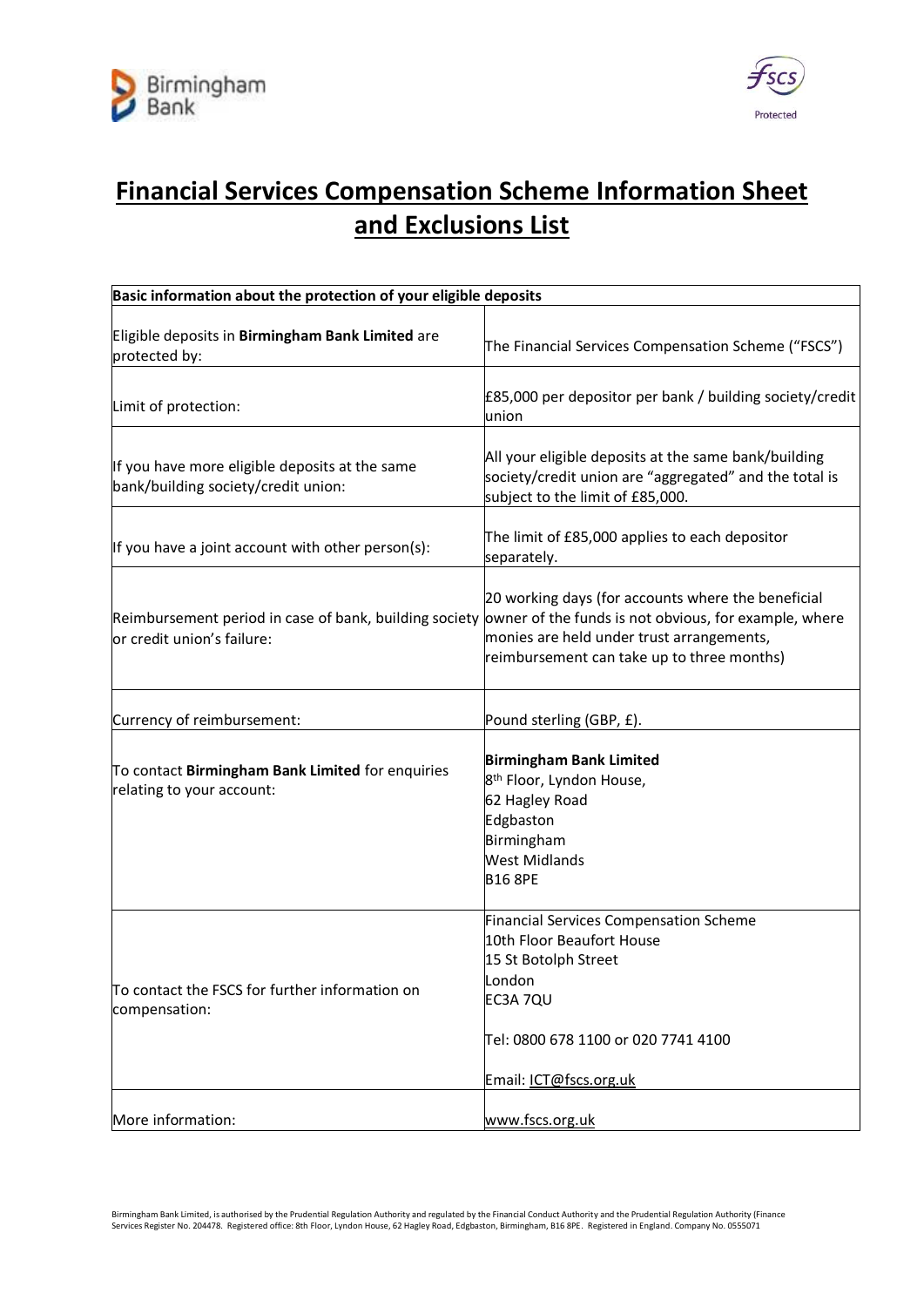



# **Financial Services Compensation Scheme Information Sheet and Exclusions List**

| Basic information about the protection of your eligible deposits                                                                           |                                                                                                                                                                                           |
|--------------------------------------------------------------------------------------------------------------------------------------------|-------------------------------------------------------------------------------------------------------------------------------------------------------------------------------------------|
| Eligible deposits in Birmingham Bank Limited are<br>protected by:                                                                          | The Financial Services Compensation Scheme ("FSCS")                                                                                                                                       |
| Limit of protection:                                                                                                                       | £85,000 per depositor per bank / building society/credit<br>union                                                                                                                         |
| If you have more eligible deposits at the same<br>bank/building society/credit union:                                                      | All your eligible deposits at the same bank/building<br>society/credit union are "aggregated" and the total is<br>subject to the limit of £85,000.                                        |
| If you have a joint account with other person(s):                                                                                          | The limit of £85,000 applies to each depositor<br>separately.                                                                                                                             |
| Reimbursement period in case of bank, building society owner of the funds is not obvious, for example, where<br>or credit union's failure: | 20 working days (for accounts where the beneficial<br>monies are held under trust arrangements,<br>reimbursement can take up to three months)                                             |
| Currency of reimbursement:                                                                                                                 | Pound sterling (GBP, £).                                                                                                                                                                  |
| To contact Birmingham Bank Limited for enquiries<br>relating to your account:                                                              | <b>Birmingham Bank Limited</b><br>8 <sup>th</sup> Floor, Lyndon House,<br>62 Hagley Road<br>Edgbaston<br>Birmingham<br><b>West Midlands</b><br><b>B16 8PE</b>                             |
| To contact the FSCS for further information on<br>compensation:                                                                            | <b>Financial Services Compensation Scheme</b><br>10th Floor Beaufort House<br>15 St Botolph Street<br>London<br>EC3A 7QU<br>Tel: 0800 678 1100 or 020 7741 4100<br>Email: ICT@fscs.org.uk |
| More information:                                                                                                                          | www.fscs.org.uk                                                                                                                                                                           |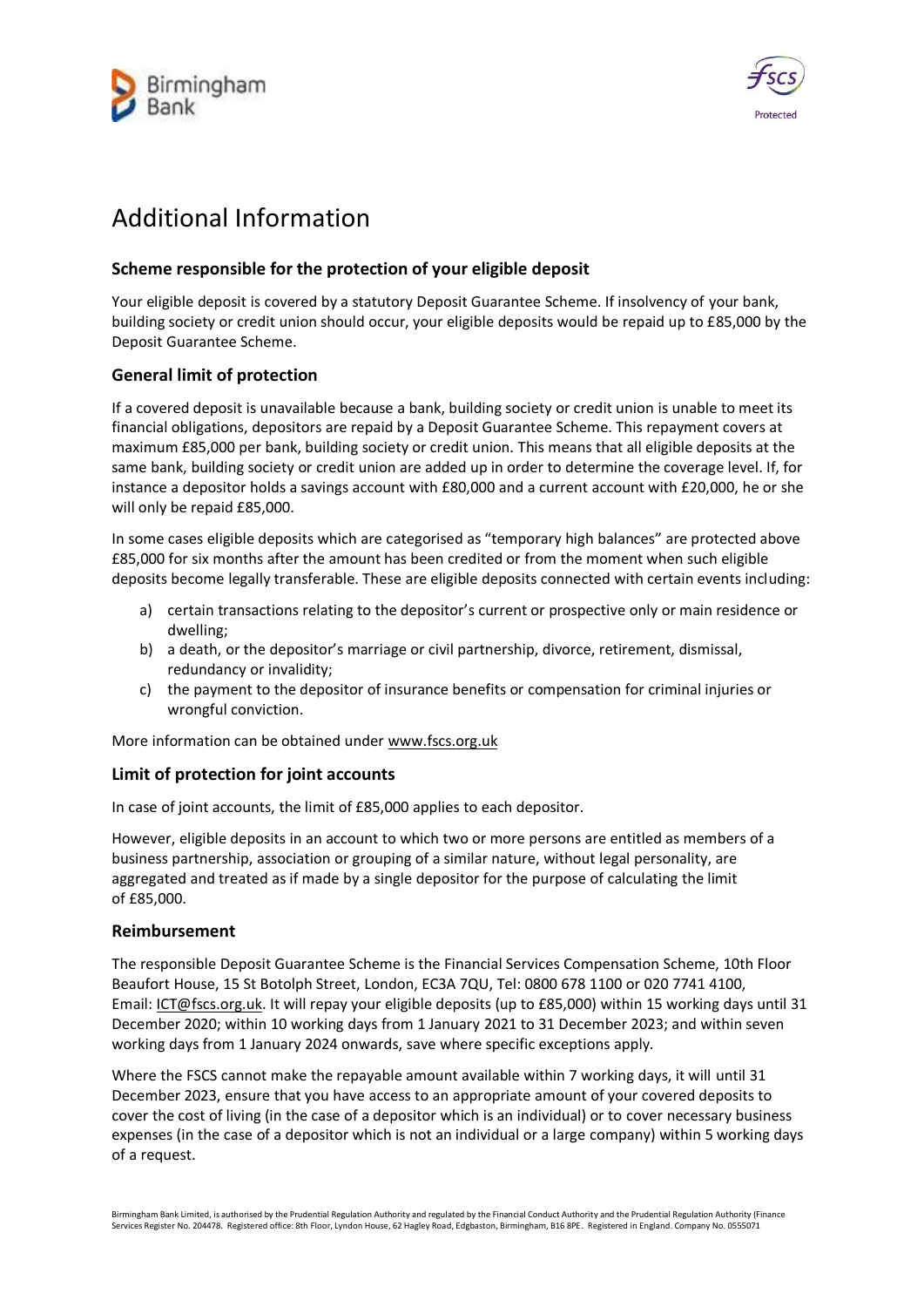



## Additional Information

#### **Scheme responsible for the protection of your eligible deposit**

Your eligible deposit is covered by a statutory Deposit Guarantee Scheme. If insolvency of your bank, building society or credit union should occur, your eligible deposits would be repaid up to £85,000 by the Deposit Guarantee Scheme.

#### **General limit of protection**

If a covered deposit is unavailable because a bank, building society or credit union is unable to meet its financial obligations, depositors are repaid by a Deposit Guarantee Scheme. This repayment covers at maximum £85,000 per bank, building society or credit union. This means that all eligible deposits at the same bank, building society or credit union are added up in order to determine the coverage level. If, for instance a depositor holds a savings account with £80,000 and a current account with £20,000, he or she will only be repaid £85,000.

In some cases eligible deposits which are categorised as "temporary high balances" are protected above £85,000 for six months after the amount has been credited or from the moment when such eligible deposits become legally transferable. These are eligible deposits connected with certain events including:

- a) certain transactions relating to the depositor's current or prospective only or main residence or dwelling;
- b) a death, or the depositor's marriage or civil partnership, divorce, retirement, dismissal, redundancy or invalidity;
- c) the payment to the depositor of insurance benefits or compensation for criminal injuries or wrongful conviction.

More information can be obtained under [www.fscs.org.uk](http://www.fscs.org.uk/) 

#### **Limit of protection for joint accounts**

In case of joint accounts, the limit of £85,000 applies to each depositor.

However, eligible deposits in an account to which two or more persons are entitled as members of a business partnership, association or grouping of a similar nature, without legal personality, are aggregated and treated as if made by a single depositor for the purpose of calculating the limit of £85,000.

#### **Reimbursement**

The responsible Deposit Guarantee Scheme is the Financial Services Compensation Scheme, 10th Floor Beaufort House, 15 St Botolph Street, London, EC3A 7QU, Tel: 0800 678 1100 or 020 7741 4100, Email[: ICT@fscs.org.uk.](mailto:ICT@fscs.org.uk) It will repay your eligible deposits (up to £85,000) within 15 working days until 31 December 2020; within 10 working days from 1 January 2021 to 31 December 2023; and within seven working days from 1 January 2024 onwards, save where specific exceptions apply.

Where the FSCS cannot make the repayable amount available within 7 working days, it will until 31 December 2023, ensure that you have access to an appropriate amount of your covered deposits to cover the cost of living (in the case of a depositor which is an individual) or to cover necessary business expenses (in the case of a depositor which is not an individual or a large company) within 5 working days of a request.